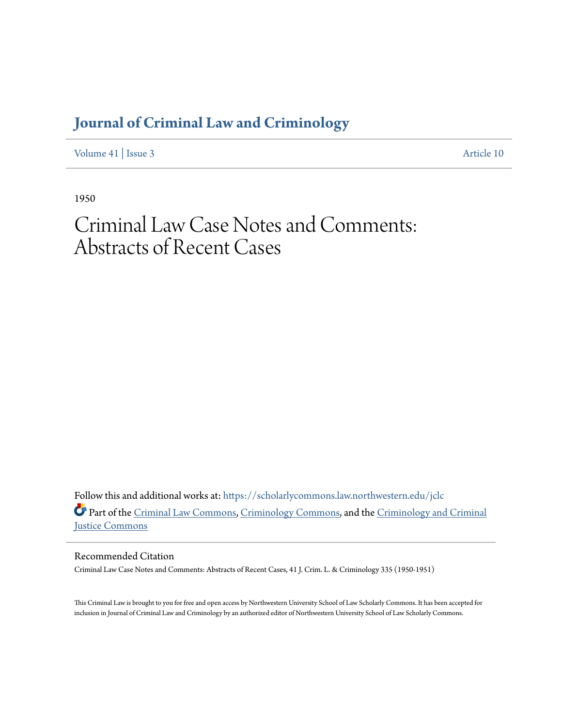## **[Journal of Criminal Law and Criminology](https://scholarlycommons.law.northwestern.edu/jclc?utm_source=scholarlycommons.law.northwestern.edu%2Fjclc%2Fvol41%2Fiss3%2F10&utm_medium=PDF&utm_campaign=PDFCoverPages)**

[Volume 41](https://scholarlycommons.law.northwestern.edu/jclc/vol41?utm_source=scholarlycommons.law.northwestern.edu%2Fjclc%2Fvol41%2Fiss3%2F10&utm_medium=PDF&utm_campaign=PDFCoverPages) | [Issue 3](https://scholarlycommons.law.northwestern.edu/jclc/vol41/iss3?utm_source=scholarlycommons.law.northwestern.edu%2Fjclc%2Fvol41%2Fiss3%2F10&utm_medium=PDF&utm_campaign=PDFCoverPages) [Article 10](https://scholarlycommons.law.northwestern.edu/jclc/vol41/iss3/10?utm_source=scholarlycommons.law.northwestern.edu%2Fjclc%2Fvol41%2Fiss3%2F10&utm_medium=PDF&utm_campaign=PDFCoverPages)

1950

## Criminal Law Case Notes and Comments: Abstracts of Recent Cases

Follow this and additional works at: [https://scholarlycommons.law.northwestern.edu/jclc](https://scholarlycommons.law.northwestern.edu/jclc?utm_source=scholarlycommons.law.northwestern.edu%2Fjclc%2Fvol41%2Fiss3%2F10&utm_medium=PDF&utm_campaign=PDFCoverPages) Part of the [Criminal Law Commons](http://network.bepress.com/hgg/discipline/912?utm_source=scholarlycommons.law.northwestern.edu%2Fjclc%2Fvol41%2Fiss3%2F10&utm_medium=PDF&utm_campaign=PDFCoverPages), [Criminology Commons](http://network.bepress.com/hgg/discipline/417?utm_source=scholarlycommons.law.northwestern.edu%2Fjclc%2Fvol41%2Fiss3%2F10&utm_medium=PDF&utm_campaign=PDFCoverPages), and the [Criminology and Criminal](http://network.bepress.com/hgg/discipline/367?utm_source=scholarlycommons.law.northwestern.edu%2Fjclc%2Fvol41%2Fiss3%2F10&utm_medium=PDF&utm_campaign=PDFCoverPages) [Justice Commons](http://network.bepress.com/hgg/discipline/367?utm_source=scholarlycommons.law.northwestern.edu%2Fjclc%2Fvol41%2Fiss3%2F10&utm_medium=PDF&utm_campaign=PDFCoverPages)

Recommended Citation

Criminal Law Case Notes and Comments: Abstracts of Recent Cases, 41 J. Crim. L. & Criminology 335 (1950-1951)

This Criminal Law is brought to you for free and open access by Northwestern University School of Law Scholarly Commons. It has been accepted for inclusion in Journal of Criminal Law and Criminology by an authorized editor of Northwestern University School of Law Scholarly Commons.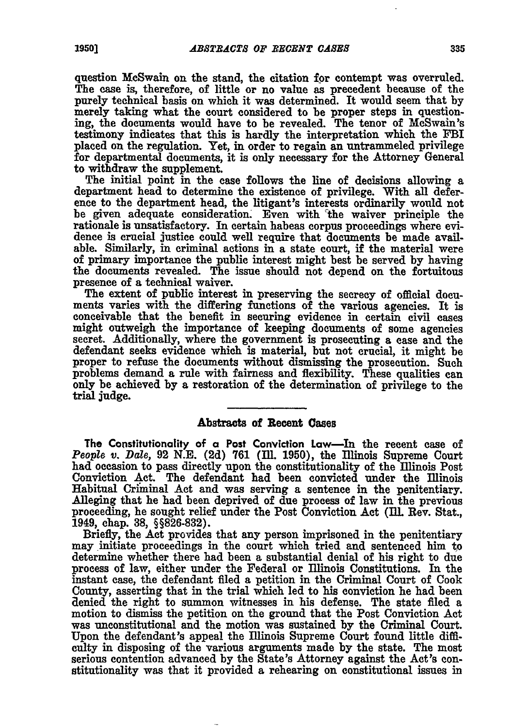question McSwain on the stand, the citation for contempt was overruled. The **case** is, therefore, of little or no value as precedent because of the purely technical basis on which it was determined. It would seem that **by** merely taking what the court considered to be proper steps in questioning, the documents would have to be revealed. The tenor of McSwain's testimony indicates that this is hardly the interpretation which the FBI placed on the regulation. Yet, in order to regain an untrammeled privilege for departmental documents, it is only necessary for the Attorney General to withdraw the supplement.

The initial point in the case follows the line of decisions allowing a department head to determine the existence of privilege. With all deference to the department head, the litigant's interests ordinarily would not be given adequate consideration. Even with the waiver principle the rationale is unsatisfactory. In certain habeas corpus proceedings where evidence is crucial justice could well require that documents be made available. Similarly, in criminal actions in a state court, if the material were of primary importance the public interest might best be served **by** having the documents revealed. The issue should not depend on the fortuitous presence of a technical waiver.

The extent of public interest in preserving the secrecy of official documents varies with the differing functions of the various agencies. It is conceivable that the benefit in securing evidence in certain civil cases might outweigh the importance of keeping documents of some agencies secret. Additionally, where the government is prosecuting a case and the defendant seeks evidence which is material, but not crucial, it might be proper to refuse the documents without dismissing the prosecution. Such problems demand a rule with fairness and flexibility. These qualities can only be achieved **by** a restoration of the determination of privilege to the trial judge.

## **Abstracts** of Recent Cases

The Constitutionality of a Post Conviction Law-In the recent case of *People v. Dale, 92 N.E. (2d) 761 (Ill. 1950), the Illinois Supreme Court* had occasion to pass directly upon the constitutionality of the Illinois Post Conviction Act. The defendant had been convicted under the Illinois Habitual Crfininal Act and was serving a sentence in the penitentiary. Alleging that he had been deprived of due process of law in the previous proceeding, he sought relief under the Post Conviction Act **(ll.** Rev. Stat., 1949, chap. **38, §§826-832).**

Briefly, the Act provides that any person imprisoned in the penitentiary may initiate proceedings in the court which tried and sentenced him to determine whether there had been a substantial denial of his right to due process of law, either under the Federal or Illinois Constitutions. In the instant case, the defendant filed a petition in the Criminal Court of Cook County, asserting that in the trial which led to his conviction he had been denied the right to summon witnesses in his defense. The state filed a motion to dismiss the petition on the ground that the Post Conviction Act was unconstitutional and the motion was sustained **by** the Criminal Court. Upon the defendant's appeal the Illinois Supreme Court found little difficulty in disposing of the various arguments made **by** the state. The most serious contention advanced **by** the State's Attorney against the Act's constitutionality was that it provided a rehearing on constitutional issues in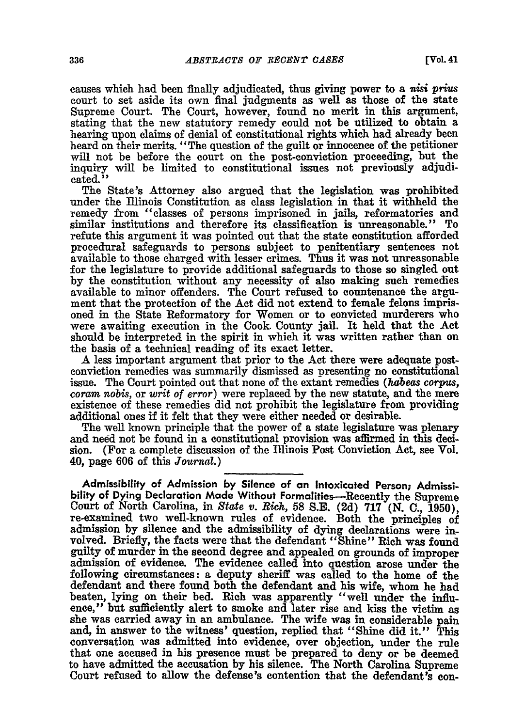causes which had been finally adjudicated, thus giving power to a *nisi* prius court to set aside its own final judgments as well as those of the state Supreme Court. The Court, however, found no merit in this argument, stating that the new statutory remedy could not be utilized to obtain a hearing upon claims of denial of constitutional rights which had already been heard on their merits. "The question of the guilt or innocence of the petitioner will not be before the court on the post-conviction proceeding, but the inquiry will be limited to constitutional issues not previously adjudicated."

The State's Attorney also argued that the legislation was prohibited under the Illinois Constitution as class legislation in that it withheld the remedy from "classes of persons imprisoned in jails, reformatories and similar institutions and therefore its classification is unreasonable." To refute this argument it was pointed out that the state constitution afforded procedural safeguards to persons subject to penitentiary sentences not available to those charged with lesser crimes. Thus it was not unreasonable for the legislature to provide additional safeguards to those so singled out by the constitution without any necessity of also making such remedies available to minor offenders. The Court refused to countenance the argument that the protection of the Act did not extend to female felons imprisoned in the State Reformatory for Women or to convicted murderers who were awaiting execution in the Cook. County jail. It held that the Act should be interpreted in the spirit in which it was written rather than on the basis of a technical reading of its exact letter.

A less important argument that prior to the Act there were adequate postconviction remedies was summarily dismissed as presenting no constitutional issue. The Court pointed out that none of the extant remedies *(habeas corpus, coram nobis,* or *writ of error)* were replaced by the new statute, and the mere existence of these remedies did not prohibit the legislature from providing additional ones if it felt that they were either needed or desirable.

The well known principle that the power of a state legislature was plenary and need not be found in a constitutional provision was affirmed in this decision. (For a complete discussion of the Illinois Post Conviction Act, see Vol. 40, page **606** of this *Journal.)*

**Admissibility of Admission by Silence of an Intoxicated Person; Admissibility of Dying Declaration Made Without Formalities-Recently the Supreme** Court of North Carolina, in *State v. Rich,* **58 S.E. (2d) 717 (N. C., 1950),** re-examined two well-known rules of evidence. Both the principles of admission by silence and the admissibility of dying declarations were involved. Briefly, the facts were that the defendant "Shine" Rich was found guilty of murder in the second degree and appealed on grounds of improper admission of evidence. The evidence called into question arose under the following circumstances: a deputy sheriff was called to the home of the defendant and there found both the defendant and his wife, whom he had beaten, lying on their bed. Rich was apparently "well under the influence," but sufficiently alert to smoke and later rise and kiss the victim as she was carried away in an ambulance. The wife was in considerable pain and, in answer to the witness' question, replied that "Shine did it." This conversation was admitted into evidence, over objection, under the rule that one accused in his presence must be prepared to deny or be deemed to have admitted the accusation by his silence. The North Carolina Supreme Court refused to allow the defense's contention that the defendant's con-